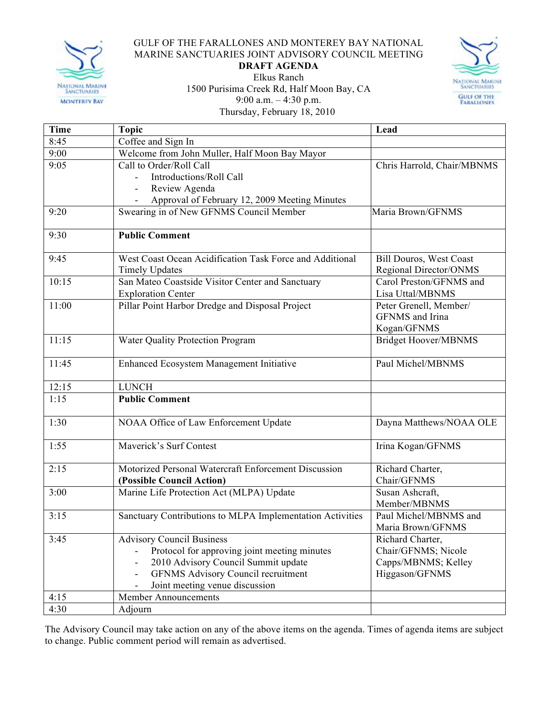

## GULF OF THE FARALLONES AND MONTEREY BAY NATIONAL MARINE SANCTUARIES JOINT ADVISORY COUNCIL MEETING

## **DRAFT AGENDA**



Elkus Ranch 1500 Purisima Creek Rd, Half Moon Bay, CA 9:00 a.m. – 4:30 p.m. Thursday, February 18, 2010

| Time  | <b>Topic</b>                                              | Lead                           |
|-------|-----------------------------------------------------------|--------------------------------|
| 8:45  | Coffee and Sign In                                        |                                |
| 9:00  | Welcome from John Muller, Half Moon Bay Mayor             |                                |
| 9:05  | Call to Order/Roll Call                                   | Chris Harrold, Chair/MBNMS     |
|       | Introductions/Roll Call                                   |                                |
|       | Review Agenda                                             |                                |
|       | Approval of February 12, 2009 Meeting Minutes             |                                |
| 9:20  | Swearing in of New GFNMS Council Member                   | Maria Brown/GFNMS              |
| 9:30  | <b>Public Comment</b>                                     |                                |
| 9:45  | West Coast Ocean Acidification Task Force and Additional  | <b>Bill Douros, West Coast</b> |
|       | <b>Timely Updates</b>                                     | Regional Director/ONMS         |
| 10:15 | San Mateo Coastside Visitor Center and Sanctuary          | Carol Preston/GFNMS and        |
|       | <b>Exploration Center</b>                                 | Lisa Uttal/MBNMS               |
| 11:00 | Pillar Point Harbor Dredge and Disposal Project           | Peter Grenell, Member/         |
|       |                                                           | GFNMS and Irina                |
|       |                                                           | Kogan/GFNMS                    |
| 11:15 | <b>Water Quality Protection Program</b>                   | <b>Bridget Hoover/MBNMS</b>    |
| 11:45 | Enhanced Ecosystem Management Initiative                  | Paul Michel/MBNMS              |
| 12:15 | <b>LUNCH</b>                                              |                                |
| 1:15  | <b>Public Comment</b>                                     |                                |
| 1:30  | NOAA Office of Law Enforcement Update                     | Dayna Matthews/NOAA OLE        |
| 1:55  | Maverick's Surf Contest                                   | Irina Kogan/GFNMS              |
| 2:15  | Motorized Personal Watercraft Enforcement Discussion      | Richard Charter,               |
|       | (Possible Council Action)                                 | Chair/GFNMS                    |
| 3:00  | Marine Life Protection Act (MLPA) Update                  | Susan Ashcraft,                |
|       |                                                           | Member/MBNMS                   |
| 3:15  | Sanctuary Contributions to MLPA Implementation Activities | Paul Michel/MBNMS and          |
|       |                                                           | Maria Brown/GFNMS              |
| 3:45  | <b>Advisory Council Business</b>                          | Richard Charter,               |
|       | Protocol for approving joint meeting minutes              | Chair/GFNMS; Nicole            |
|       | 2010 Advisory Council Summit update                       | Capps/MBNMS; Kelley            |
|       | <b>GFNMS Advisory Council recruitment</b>                 | Higgason/GFNMS                 |
|       | Joint meeting venue discussion                            |                                |
| 4:15  | <b>Member Announcements</b>                               |                                |
| 4:30  | Adjourn                                                   |                                |

The Advisory Council may take action on any of the above items on the agenda. Times of agenda items are subject to change. Public comment period will remain as advertised.